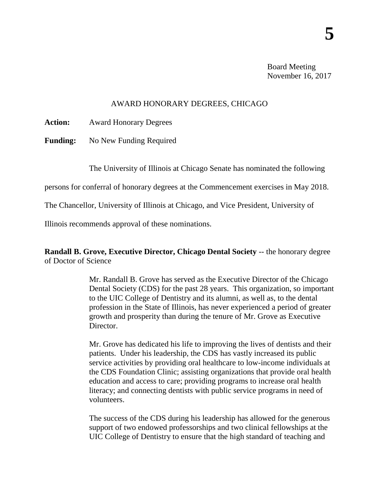Board Meeting November 16, 2017

## AWARD HONORARY DEGREES, CHICAGO

**Action:** Award Honorary Degrees

**Funding:** No New Funding Required

The University of Illinois at Chicago Senate has nominated the following

persons for conferral of honorary degrees at the Commencement exercises in May 2018.

The Chancellor, University of Illinois at Chicago, and Vice President, University of

Illinois recommends approval of these nominations.

**Randall B. Grove, Executive Director, Chicago Dental Society** -- the honorary degree of Doctor of Science

> Mr. Randall B. Grove has served as the Executive Director of the Chicago Dental Society (CDS) for the past 28 years. This organization, so important to the UIC College of Dentistry and its alumni, as well as, to the dental profession in the State of Illinois, has never experienced a period of greater growth and prosperity than during the tenure of Mr. Grove as Executive Director.

> Mr. Grove has dedicated his life to improving the lives of dentists and their patients. Under his leadership, the CDS has vastly increased its public service activities by providing oral healthcare to low-income individuals at the CDS Foundation Clinic; assisting organizations that provide oral health education and access to care; providing programs to increase oral health literacy; and connecting dentists with public service programs in need of volunteers.

> The success of the CDS during his leadership has allowed for the generous support of two endowed professorships and two clinical fellowships at the UIC College of Dentistry to ensure that the high standard of teaching and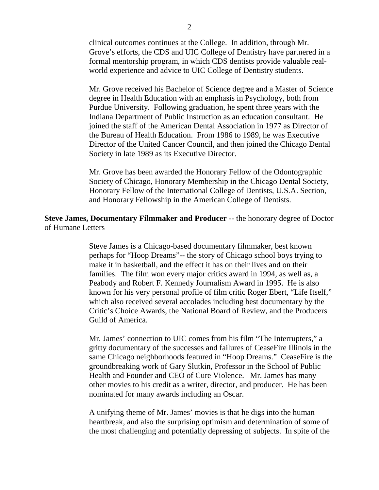clinical outcomes continues at the College. In addition, through Mr. Grove's efforts, the CDS and UIC College of Dentistry have partnered in a formal mentorship program, in which CDS dentists provide valuable realworld experience and advice to UIC College of Dentistry students.

Mr. Grove received his Bachelor of Science degree and a Master of Science degree in Health Education with an emphasis in Psychology, both from Purdue University. Following graduation, he spent three years with the Indiana Department of Public Instruction as an education consultant. He joined the staff of the American Dental Association in 1977 as Director of the Bureau of Health Education. From 1986 to 1989, he was Executive Director of the United Cancer Council, and then joined the Chicago Dental Society in late 1989 as its Executive Director.

Mr. Grove has been awarded the Honorary Fellow of the Odontographic Society of Chicago, Honorary Membership in the Chicago Dental Society, Honorary Fellow of the International College of Dentists, U.S.A. Section, and Honorary Fellowship in the American College of Dentists.

## **Steve James, Documentary Filmmaker and Producer** -- the honorary degree of Doctor of Humane Letters

Steve James is a Chicago-based documentary filmmaker, best known perhaps for "Hoop Dreams"-- the story of Chicago school boys trying to make it in basketball, and the effect it has on their lives and on their families. The film won every major critics award in 1994, as well as, a Peabody and Robert F. Kennedy Journalism Award in 1995. He is also known for his very personal profile of film critic Roger Ebert, "Life Itself," which also received several accolades including best documentary by the Critic's Choice Awards, the National Board of Review, and the Producers Guild of America.

Mr. James' connection to UIC comes from his film "The Interrupters," a gritty documentary of the successes and failures of CeaseFire Illinois in the same Chicago neighborhoods featured in "Hoop Dreams." CeaseFire is the groundbreaking work of Gary Slutkin, Professor in the School of Public Health and Founder and CEO of Cure Violence. Mr. James has many other movies to his credit as a writer, director, and producer. He has been nominated for many awards including an Oscar.

A unifying theme of Mr. James' movies is that he digs into the human heartbreak, and also the surprising optimism and determination of some of the most challenging and potentially depressing of subjects. In spite of the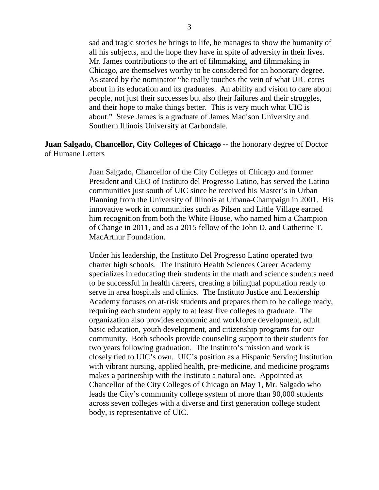sad and tragic stories he brings to life, he manages to show the humanity of all his subjects, and the hope they have in spite of adversity in their lives. Mr. James contributions to the art of filmmaking, and filmmaking in Chicago, are themselves worthy to be considered for an honorary degree. As stated by the nominator "he really touches the vein of what UIC cares about in its education and its graduates. An ability and vision to care about people, not just their successes but also their failures and their struggles, and their hope to make things better. This is very much what UIC is about." Steve James is a graduate of James Madison University and Southern Illinois University at Carbondale.

## **Juan Salgado, Chancellor, City Colleges of Chicago** -- the honorary degree of Doctor of Humane Letters

Juan Salgado, Chancellor of the City Colleges of Chicago and former President and CEO of Instituto del Progresso Latino, has served the Latino communities just south of UIC since he received his Master's in Urban Planning from the University of Illinois at Urbana-Champaign in 2001. His innovative work in communities such as Pilsen and Little Village earned him recognition from both the White House, who named him a Champion of Change in 2011, and as a 2015 fellow of the John D. and Catherine T. MacArthur Foundation.

Under his leadership, the Instituto Del Progresso Latino operated two charter high schools. The Instituto Health Sciences Career Academy specializes in educating their students in the math and science students need to be successful in health careers, creating a bilingual population ready to serve in area hospitals and clinics. The Instituto Justice and Leadership Academy focuses on at-risk students and prepares them to be college ready, requiring each student apply to at least five colleges to graduate. The organization also provides economic and workforce development, adult basic education, youth development, and citizenship programs for our community. Both schools provide counseling support to their students for two years following graduation. The Instituto's mission and work is closely tied to UIC's own. UIC's position as a Hispanic Serving Institution with vibrant nursing, applied health, pre-medicine, and medicine programs makes a partnership with the Instituto a natural one. Appointed as Chancellor of the City Colleges of Chicago on May 1, Mr. Salgado who leads the City's community college system of more than 90,000 students across seven colleges with a diverse and first generation college student body, is representative of UIC.